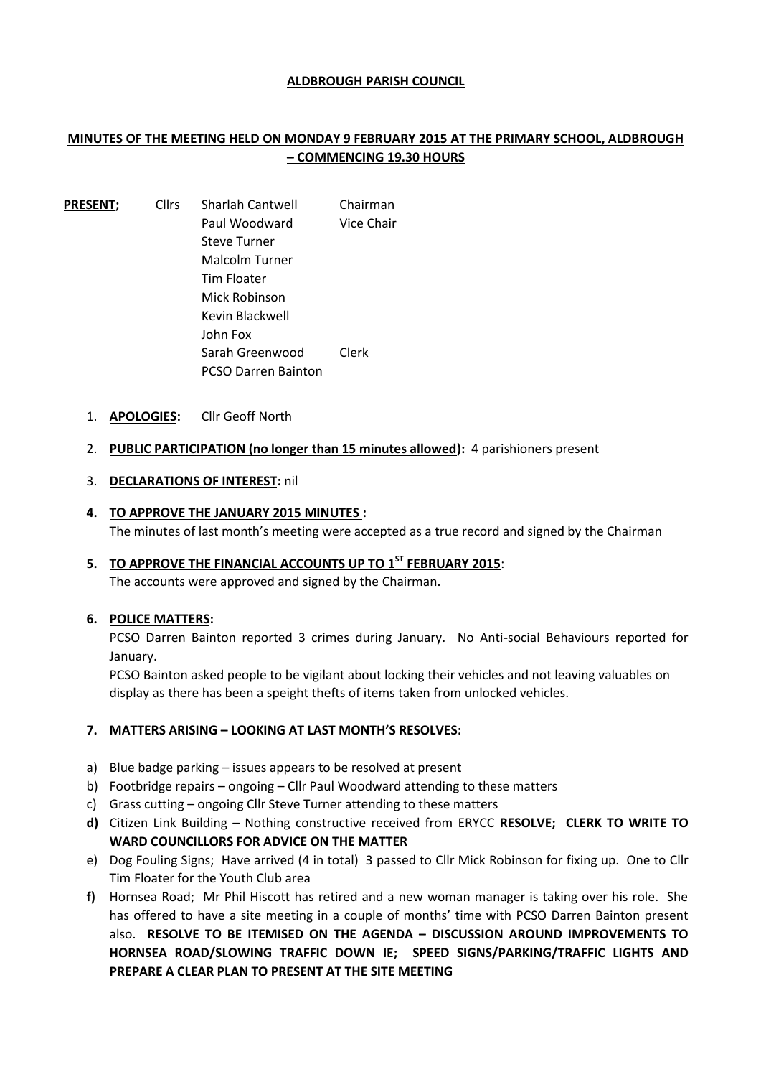#### **ALDBROUGH PARISH COUNCIL**

# **MINUTES OF THE MEETING HELD ON MONDAY 9 FEBRUARY 2015 AT THE PRIMARY SCHOOL, ALDBROUGH – COMMENCING 19.30 HOURS**

- PRESENT; Cllrs Sharlah Cantwell Chairman Paul Woodward Vice Chair Steve Turner Malcolm Turner Tim Floater Mick Robinson Kevin Blackwell John Fox Sarah Greenwood Clerk PCSO Darren Bainton
	- 1. **APOLOGIES:** Cllr Geoff North
	- 2. **PUBLIC PARTICIPATION (no longer than 15 minutes allowed):** 4 parishioners present
	- 3. **DECLARATIONS OF INTEREST:** nil
	- **4. TO APPROVE THE JANUARY 2015 MINUTES :** The minutes of last month's meeting were accepted as a true record and signed by the Chairman
	- **5. TO APPROVE THE FINANCIAL ACCOUNTS UP TO 1 ST FEBRUARY 2015**: The accounts were approved and signed by the Chairman.

#### **6. POLICE MATTERS:**

PCSO Darren Bainton reported 3 crimes during January. No Anti-social Behaviours reported for January.

PCSO Bainton asked people to be vigilant about locking their vehicles and not leaving valuables on display as there has been a speight thefts of items taken from unlocked vehicles.

## **7. MATTERS ARISING – LOOKING AT LAST MONTH'S RESOLVES:**

- a) Blue badge parking issues appears to be resolved at present
- b) Footbridge repairs ongoing Cllr Paul Woodward attending to these matters
- c) Grass cutting ongoing Cllr Steve Turner attending to these matters
- **d)** Citizen Link Building Nothing constructive received from ERYCC **RESOLVE; CLERK TO WRITE TO WARD COUNCILLORS FOR ADVICE ON THE MATTER**
- e) Dog Fouling Signs; Have arrived (4 in total) 3 passed to Cllr Mick Robinson for fixing up. One to Cllr Tim Floater for the Youth Club area
- **f)** Hornsea Road; Mr Phil Hiscott has retired and a new woman manager is taking over his role. She has offered to have a site meeting in a couple of months' time with PCSO Darren Bainton present also. **RESOLVE TO BE ITEMISED ON THE AGENDA – DISCUSSION AROUND IMPROVEMENTS TO HORNSEA ROAD/SLOWING TRAFFIC DOWN IE; SPEED SIGNS/PARKING/TRAFFIC LIGHTS AND PREPARE A CLEAR PLAN TO PRESENT AT THE SITE MEETING**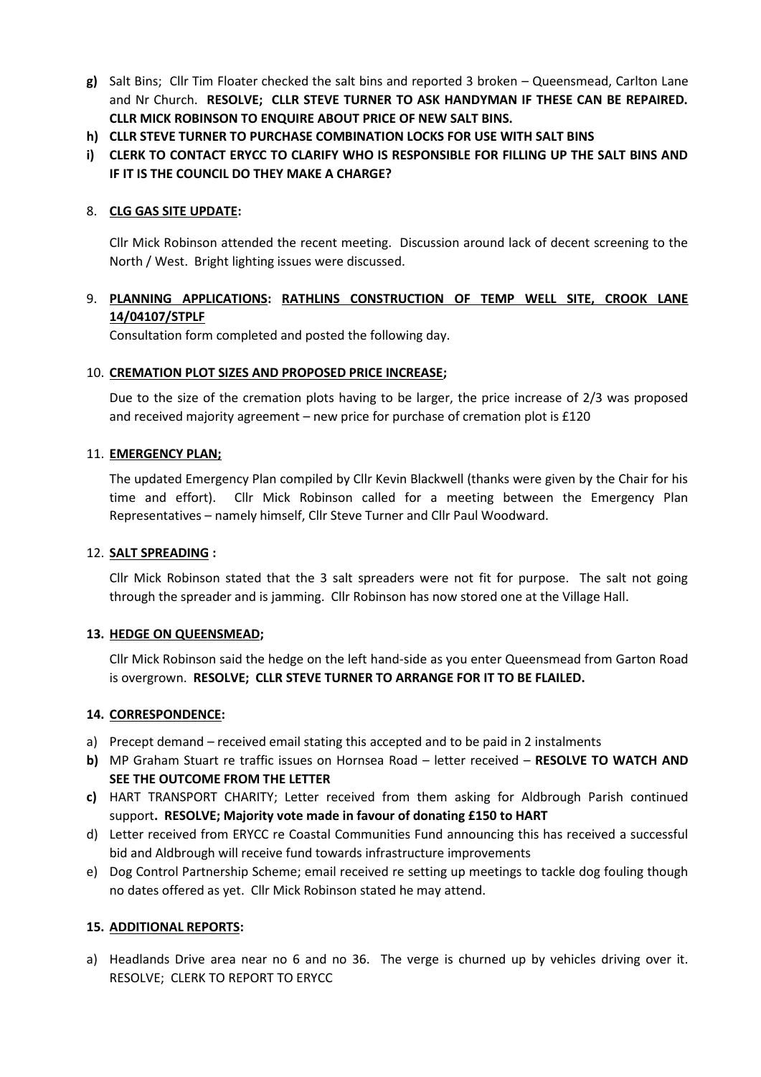- **g)** Salt Bins; Cllr Tim Floater checked the salt bins and reported 3 broken Queensmead, Carlton Lane and Nr Church. **RESOLVE; CLLR STEVE TURNER TO ASK HANDYMAN IF THESE CAN BE REPAIRED. CLLR MICK ROBINSON TO ENQUIRE ABOUT PRICE OF NEW SALT BINS.**
- **h) CLLR STEVE TURNER TO PURCHASE COMBINATION LOCKS FOR USE WITH SALT BINS**
- **i) CLERK TO CONTACT ERYCC TO CLARIFY WHO IS RESPONSIBLE FOR FILLING UP THE SALT BINS AND IF IT IS THE COUNCIL DO THEY MAKE A CHARGE?**

#### 8. **CLG GAS SITE UPDATE:**

Cllr Mick Robinson attended the recent meeting. Discussion around lack of decent screening to the North / West. Bright lighting issues were discussed.

## 9. **PLANNING APPLICATIONS: RATHLINS CONSTRUCTION OF TEMP WELL SITE, CROOK LANE 14/04107/STPLF**

Consultation form completed and posted the following day.

#### 10. **CREMATION PLOT SIZES AND PROPOSED PRICE INCREASE;**

Due to the size of the cremation plots having to be larger, the price increase of 2/3 was proposed and received majority agreement – new price for purchase of cremation plot is £120

#### 11. **EMERGENCY PLAN;**

The updated Emergency Plan compiled by Cllr Kevin Blackwell (thanks were given by the Chair for his time and effort). Cllr Mick Robinson called for a meeting between the Emergency Plan Representatives – namely himself, Cllr Steve Turner and Cllr Paul Woodward.

#### 12. **SALT SPREADING :**

Cllr Mick Robinson stated that the 3 salt spreaders were not fit for purpose. The salt not going through the spreader and is jamming. Cllr Robinson has now stored one at the Village Hall.

## **13. HEDGE ON QUEENSMEAD;**

Cllr Mick Robinson said the hedge on the left hand-side as you enter Queensmead from Garton Road is overgrown. **RESOLVE; CLLR STEVE TURNER TO ARRANGE FOR IT TO BE FLAILED.**

#### **14. CORRESPONDENCE:**

- a) Precept demand received email stating this accepted and to be paid in 2 instalments
- **b)** MP Graham Stuart re traffic issues on Hornsea Road letter received **RESOLVE TO WATCH AND SEE THE OUTCOME FROM THE LETTER**
- **c)** HART TRANSPORT CHARITY; Letter received from them asking for Aldbrough Parish continued support**. RESOLVE; Majority vote made in favour of donating £150 to HART**
- d) Letter received from ERYCC re Coastal Communities Fund announcing this has received a successful bid and Aldbrough will receive fund towards infrastructure improvements
- e) Dog Control Partnership Scheme; email received re setting up meetings to tackle dog fouling though no dates offered as yet. Cllr Mick Robinson stated he may attend.

## **15. ADDITIONAL REPORTS:**

a) Headlands Drive area near no 6 and no 36. The verge is churned up by vehicles driving over it. RESOLVE; CLERK TO REPORT TO ERYCC